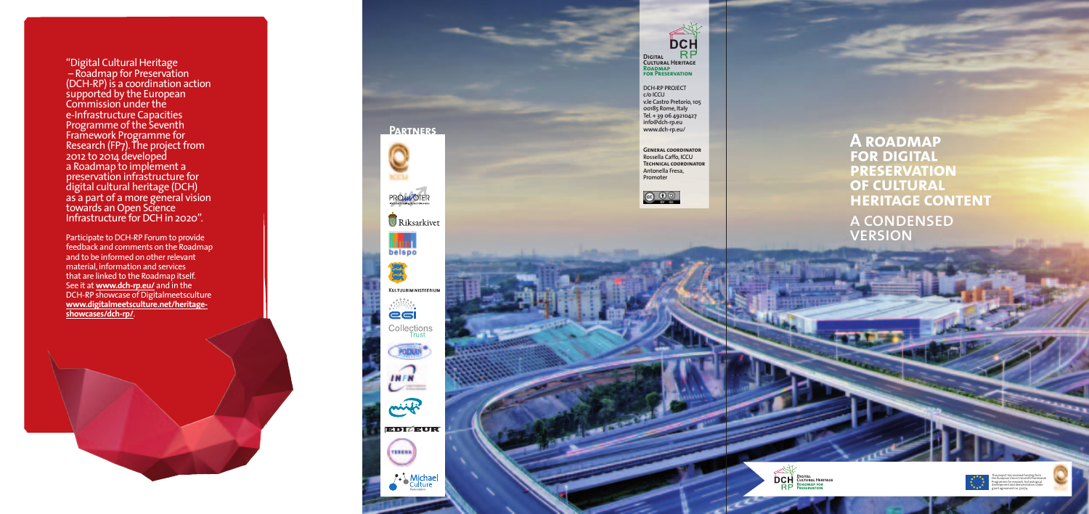



"Digital Cultural Heritage – Roadmap for Preservation (DCH-RP) is a coordination action supported by the European Commission under the e-Infrastructure Capacities Programme of the Seventh Framework Programme for Research (FP⁊). The project from 2012 to 2014 developed a Roadmap to implement a preservation infrastructure for digital cultural heritage (DCH) as a part of a more general vision towards an Open Science Infrastructure for DCH in 2020".

Participate to DCH-RP Forum to provide feedback and comments on the Roadmap and to be informed on other relevant material, information and services that are linked to the Roadmap itself. See it at www.dch-rp.eu/ and in the DCH-RP showcase of Digitalmeetsculture <u>www.digitalmeetsculture.net/heritage-</u> **s h o w c a s e s /d c h - r p /** .

**GENERAL COORDINATOR R o s s e l l a C a ffo , I C C U TECHNICAL COORDINATOR A n t o n e l l a F r e s a , P r o m o t e r**



 $\bf{A}$  **ROADMAP fOR DIGITAL pRESERVATION OF CULTURAL HERITAGE CONTENT** 

A CONDENSED VERSION

**D C H - R P P R OJ E C T c /o I C C U v. l e C a s t r o P r e t o r i o , 1 0 5 0 0 1 8 5 R o m e , I t a l y Te l . + 3 9 0 6 4 9 2 1 0 4 2 7 i n fo @ d c h - r p . e u w w w. d c h - r p . e u /**

**PARTNERS** 

**MODEL** 

PRO**WOTER** 

mar. belspo

**Riksarkivet** 

KULTUURIMINISTEERIUM

Collections

POZNAN

**INFN** 

mixti

**TERESA** 

**EDIZEUR** 

• Michael



t

h iis project has received funding from<br>ie European Union's Seventh Framework<br>ogramme for research, technological<br>svelopment and demonstration under h P r d e g r a n t a g r e e m e n t n o . 3 1 2 2 4